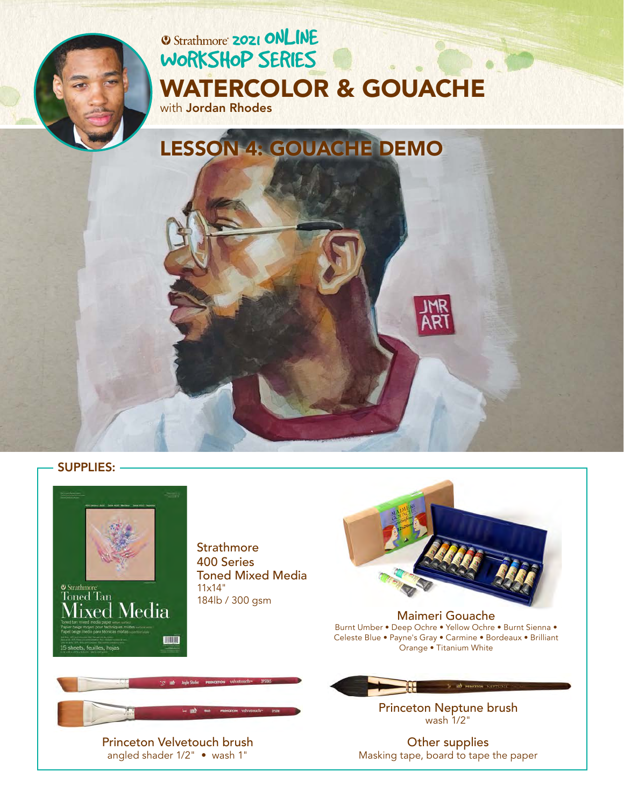

# **2021 ONLINE** [WORKSHOP SERIES](https://www.strathmoreartiststudio.com/) [WATERCOLOR & GOUACHE](https://www.strathmoreartiststudio.com/2021-workshop-1-videos/) with Jordan Rhodes

LESSON 4: GOUACHE DEMO





**Strathmore** 400 Series Toned Mixed Media 184lb / 300 gsm



Maimeri Gouache Burnt Umber • Deep Ochre • Yellow Ochre • Burnt Sienna • [Celeste Blue • Payne's Gray • Carmine • Bordeaux • Brilliant](https://www.maimeri.it/en/products/gouache.html)  Orange • Titanium White

> [Princeton Neptune brush](https://www.princetonbrush.com/neptune-series-4750-princeton-brush-company-brush-4750/)  wash 1/2"

Other supplies Masking tape, board to tape the paper



[Princeton Velvetouch brush](https://www.princetonbrush.com/velvetouch-series-3950-princeton-brush-company-brush-3950/)  angled shader 1/2" • wash 1"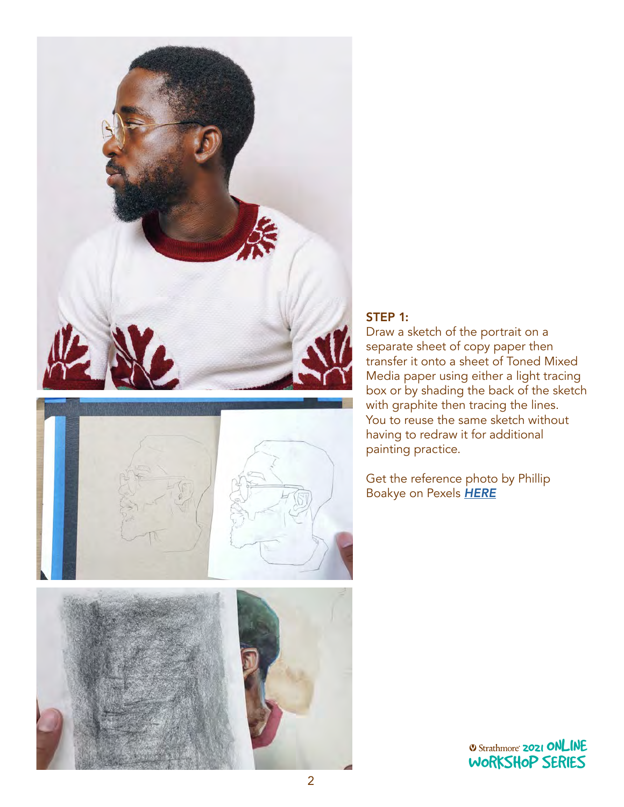



## STEP 1:

Draw a sketch of the portrait on a separate sheet of copy paper then transfer it onto a sheet of Toned Mixed Media paper using either a light tracing box or by shading the back of the sketch with graphite then tracing the lines. You to reuse the same sketch without having to redraw it for additional painting practice.

Get the reference photo by Phillip Boakye on Pexels *[HERE](https://www.pexels.com/photo/photo-of-man-wearing-eyeglasses-910143/)*



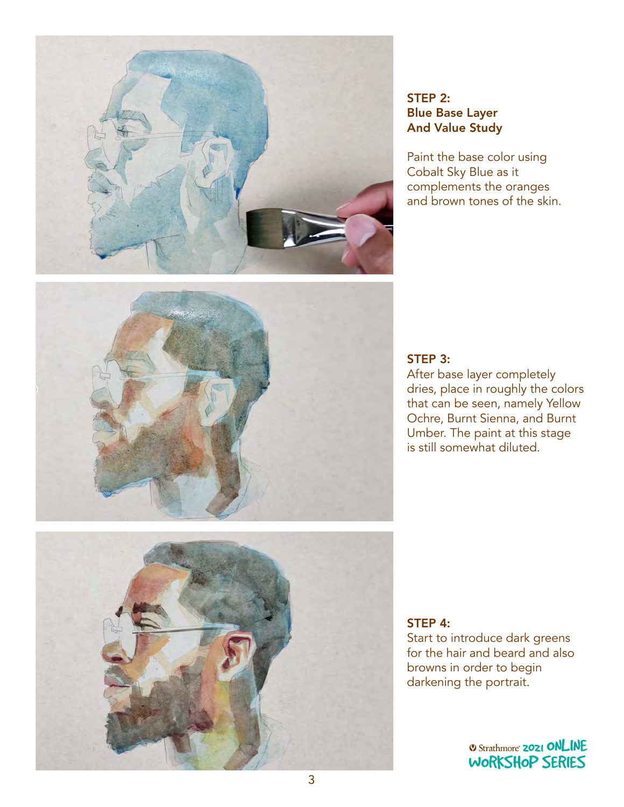

# STEP 2: Blue Base Layer And Value Study

Paint the base color using Cobalt Sky Blue as it complements the oranges and brown tones of the skin.



#### STEP 3:

After base layer completely dries, place in roughly the colors that can be seen, namely Yellow Ochre, Burnt Sienna, and Burnt Umber. The paint at this stage is still somewhat diluted.



#### STEP 4:

Start to introduce dark greens for the hair and beard and also browns in order to begin browns in order to begin<br>darkening the portrait.  $\sim$  portant.

> *O Strathmore* **2021 ONLINE** [WORKSHOP SERIES](https://www.strathmoreartiststudio.com/)